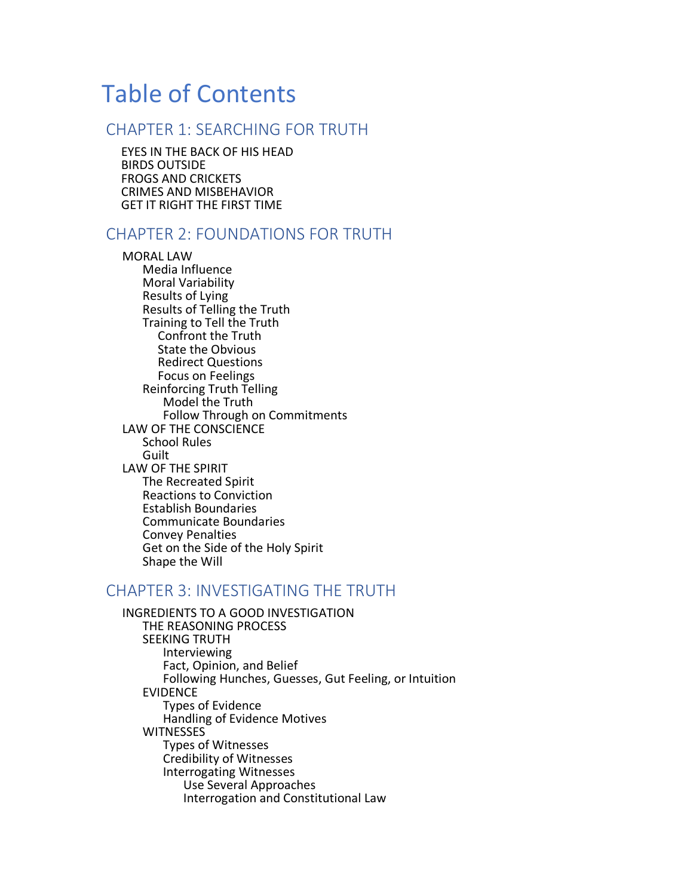# Table of Contents

#### CHAPTER 1: SEARCHING FOR TRUTH

EYES IN THE BACK OF HIS HEAD BIRDS OUTSIDE FROGS AND CRICKETS CRIMES AND MISBEHAVIOR GET IT RIGHT THE FIRST TIME

#### CHAPTER 2: FOUNDATIONS FOR TRUTH

MORAL LAW Media Influence Moral Variability Results of Lying Results of Telling the Truth Training to Tell the Truth Confront the Truth State the Obvious Redirect Questions Focus on Feelings Reinforcing Truth Telling Model the Truth Follow Through on Commitments LAW OF THE CONSCIENCE School Rules Guilt LAW OF THE SPIRIT The Recreated Spirit Reactions to Conviction Establish Boundaries Communicate Boundaries Convey Penalties Get on the Side of the Holy Spirit Shape the Will

#### CHAPTER 3: INVESTIGATING THE TRUTH

INGREDIENTS TO A GOOD INVESTIGATION THE REASONING PROCESS SEEKING TRUTH Interviewing Fact, Opinion, and Belief Following Hunches, Guesses, Gut Feeling, or Intuition EVIDENCE Types of Evidence Handling of Evidence Motives **WITNESSES** Types of Witnesses Credibility of Witnesses Interrogating Witnesses Use Several Approaches Interrogation and Constitutional Law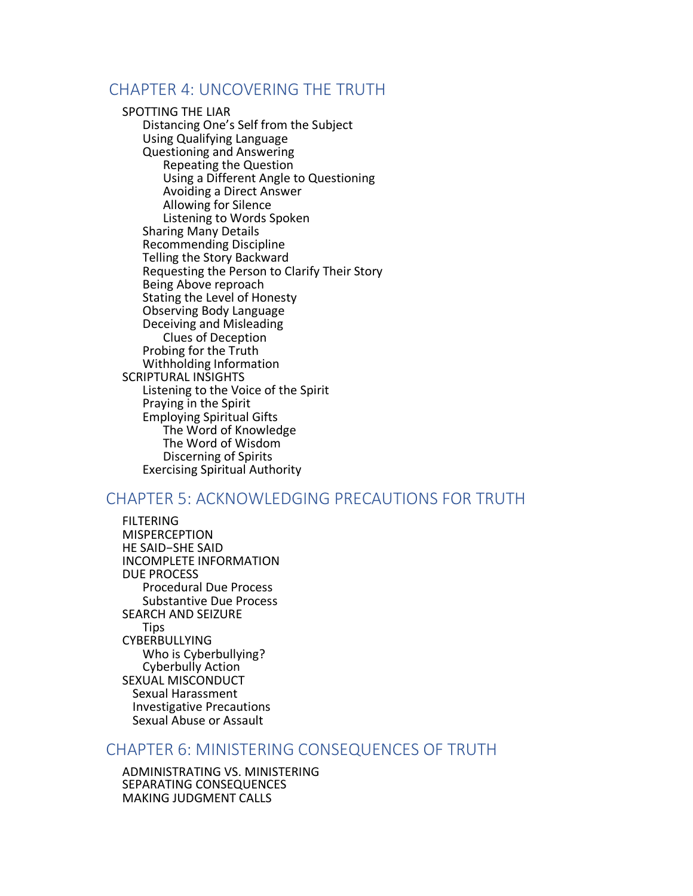### CHAPTER 4: UNCOVERING THE TRUTH

#### SPOTTING THE LIAR

Distancing One's Self from the Subject Using Qualifying Language Questioning and Answering Repeating the Question Using a Different Angle to Questioning Avoiding a Direct Answer Allowing for Silence Listening to Words Spoken Sharing Many Details Recommending Discipline Telling the Story Backward Requesting the Person to Clarify Their Story Being Above reproach Stating the Level of Honesty Observing Body Language Deceiving and Misleading Clues of Deception Probing for the Truth Withholding Information SCRIPTURAL INSIGHTS Listening to the Voice of the Spirit Praying in the Spirit Employing Spiritual Gifts The Word of Knowledge The Word of Wisdom Discerning of Spirits Exercising Spiritual Authority

## CHAPTER 5: ACKNOWLEDGING PRECAUTIONS FOR TRUTH

**FILTERING** MISPERCEPTION HE SAID−SHE SAID INCOMPLETE INFORMATION DUE PROCESS Procedural Due Process Substantive Due Process SEARCH AND SEIZURE Tips CYBERBULLYING Who is Cyberbullying? Cyberbully Action SEXUAL MISCONDUCT Sexual Harassment Investigative Precautions Sexual Abuse or Assault

#### CHAPTER 6: MINISTERING CONSEQUENCES OF TRUTH

ADMINISTRATING VS. MINISTERING SEPARATING CONSEQUENCES MAKING JUDGMENT CALLS